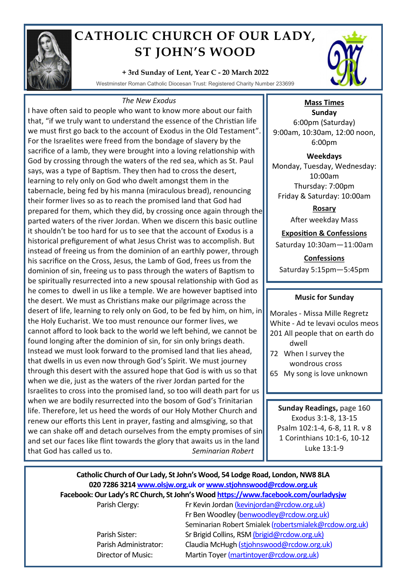

# **CATHOLIC CHURCH OF OUR LADY, ST JOHN'S WOOD**

## **+ 3rd Sunday of Lent, Year C - 20 March 2022**

Westminster Roman Catholic Diocesan Trust: Registered Charity Number 233699

#### *The New Exodus*

I have often said to people who want to know more about our faith that, "if we truly want to understand the essence of the Christian life we must first go back to the account of Exodus in the Old Testament". For the Israelites were freed from the bondage of slavery by the sacrifice of a lamb, they were brought into a loving relationship with God by crossing through the waters of the red sea, which as St. Paul says, was a type of Baptism. They then had to cross the desert, learning to rely only on God who dwelt amongst them in the tabernacle, being fed by his manna (miraculous bread), renouncing their former lives so as to reach the promised land that God had prepared for them, which they did, by crossing once again through the parted waters of the river Jordan. When we discern this basic outline it shouldn't be too hard for us to see that the account of Exodus is a historical prefigurement of what Jesus Christ was to accomplish. But instead of freeing us from the dominion of an earthly power, through his sacrifice on the Cross, Jesus, the Lamb of God, frees us from the dominion of sin, freeing us to pass through the waters of Baptism to be spiritually resurrected into a new spousal relationship with God as he comes to dwell in us like a temple. We are however baptised into the desert. We must as Christians make our pilgrimage across the desert of life, learning to rely only on God, to be fed by him, on him, in the Holy Eucharist. We too must renounce our former lives, we cannot afford to look back to the world we left behind, we cannot be found longing after the dominion of sin, for sin only brings death. Instead we must look forward to the promised land that lies ahead, that dwells in us even now through God's Spirit. We must journey through this desert with the assured hope that God is with us so that when we die, just as the waters of the river Jordan parted for the Israelites to cross into the promised land, so too will death part for us when we are bodily resurrected into the bosom of God's Trinitarian life. Therefore, let us heed the words of our Holy Mother Church and renew our efforts this Lent in prayer, fasting and almsgiving, so that we can shake off and detach ourselves from the empty promises of sin and set our faces like flint towards the glory that awaits us in the land that God has called us to. *Seminarian Robert* 



## **Mass Times Sunday** 6:00pm (Saturday) 9:00am, 10:30am, 12:00 noon, 6:00pm

**Weekdays** Monday, Tuesday, Wednesday: 10:00am Thursday: 7:00pm Friday & Saturday: 10:00am

> **Rosary** After weekday Mass

**Exposition & Confessions** Saturday 10:30am—11:00am

**Confessions**  Saturday 5:15pm—5:45pm

## **Music for Sunday**

Morales - Missa Mille Regretz White - Ad te levavi oculos meos 201 All people that on earth do dwell

- 72 When I survey the wondrous cross
- 65 My song is love unknown

**Sunday Readings,** page 160 Exodus 3:1-8, 13-15 Psalm 102:1-4, 6-8, 11 R. v 8 1 Corinthians 10:1-6, 10-12 Luke 13:1-9

## **Catholic Church of Our Lady, St John's Wood, 54 Lodge Road, London, NW8 8LA 020 7286 3214 www.olsjw.org.uk or www.stjohnswood@rcdow.org.uk Facebook: Our Lady's RC Church, St John's Wood https://www.facebook.com/ourladysjw** Parish Clergy: Fr Kevin Jordan (kevinjordan@rcdow.org.uk)

Fr Ben Woodley (benwoodley@rcdow.org.uk) Seminarian Robert Smialek (robertsmialek@rcdow.org.uk) Parish Sister: Sr Brigid Collins, RSM (brigid@rcdow.org.uk) Parish Administrator: Claudia McHugh (stjohnswood@rcdow.org.uk) Director of Music: Martin Toyer (martintoyer@rcdow.org.uk)